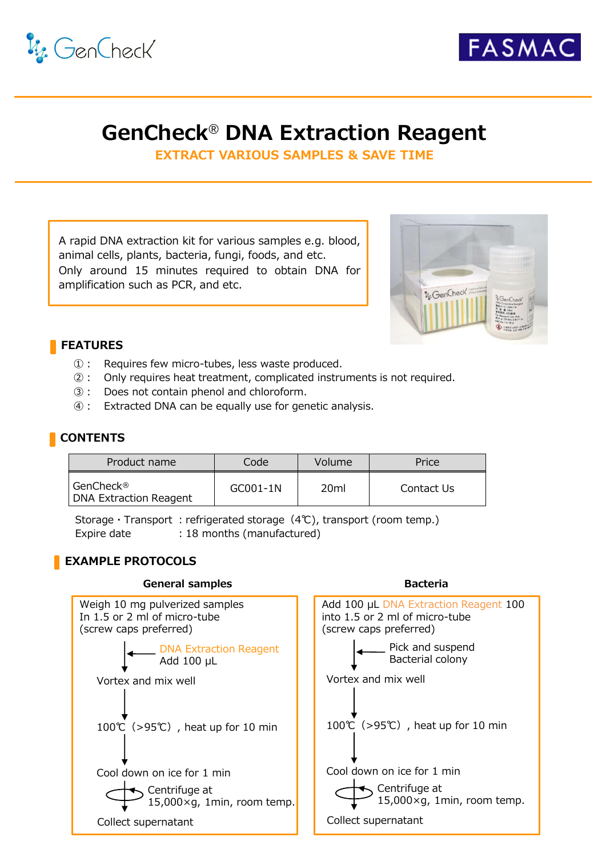



# **GenCheck**® **DNA Extraction Reagent**

**EXTRACT VARIOUS SAMPLES & SAVE TIME**

A rapid DNA extraction kit for various samples e.g. blood, animal cells, plants, bacteria, fungi, foods, and etc. Only around 15 minutes required to obtain DNA for amplification such as PCR, and etc.



**Bacteria**

## **FEATURES**

- ①: Requires few micro-tubes, less waste produced.
- ②: Only requires heat treatment, complicated instruments is not required.
- ③: Does not contain phenol and chloroform.
- ④: Extracted DNA can be equally use for genetic analysis.

### **CONTENTS**

| Product name                          | Code       | Volume           | Price      |
|---------------------------------------|------------|------------------|------------|
| l GenCheck®<br>DNA Extraction Reagent | $GC001-1N$ | 20 <sub>ml</sub> | Contact Us |

Storage · Transport : refrigerated storage  $(4°C)$ , transport (room temp.) Expire date : 18 months (manufactured)

## **EXAMPLE PROTOCOLS**

#### **General samples**